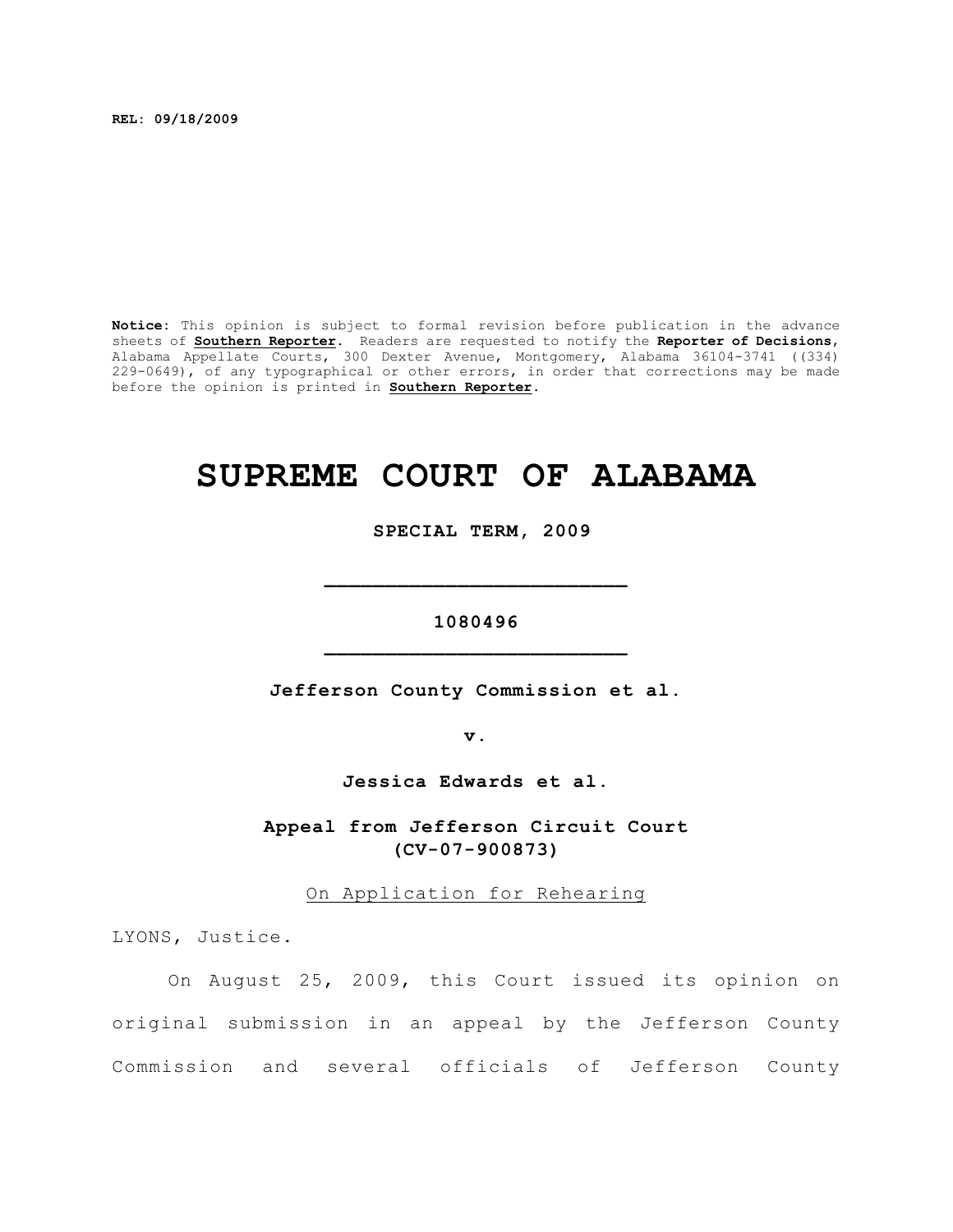**REL: 09/18/2009**

**Notice:** This opinion is subject to formal revision before publication in the advance sheets of **Southern Reporter**. Readers are requested to notify the **Reporter of Decisions**, Alabama Appellate Courts, 300 Dexter Avenue, Montgomery, Alabama 36104-3741 ((334) 229-0649), of any typographical or other errors, in order that corrections may be made before the opinion is printed in **Southern Reporter**.

## **SUPREME COURT OF ALABAMA**

 **SPECIAL TERM, 2009**

## **1080496 \_\_\_\_\_\_\_\_\_\_\_\_\_\_\_\_\_\_\_\_\_\_\_\_\_**

**\_\_\_\_\_\_\_\_\_\_\_\_\_\_\_\_\_\_\_\_\_\_\_\_\_**

**Jefferson County Commission et al.**

**v.**

**Jessica Edwards et al.**

**Appeal from Jefferson Circuit Court (CV-07-900873)**

On Application for Rehearing

LYONS, Justice.

On August 25, 2009, this Court issued its opinion on original submission in an appeal by the Jefferson County Commission and several officials of Jefferson County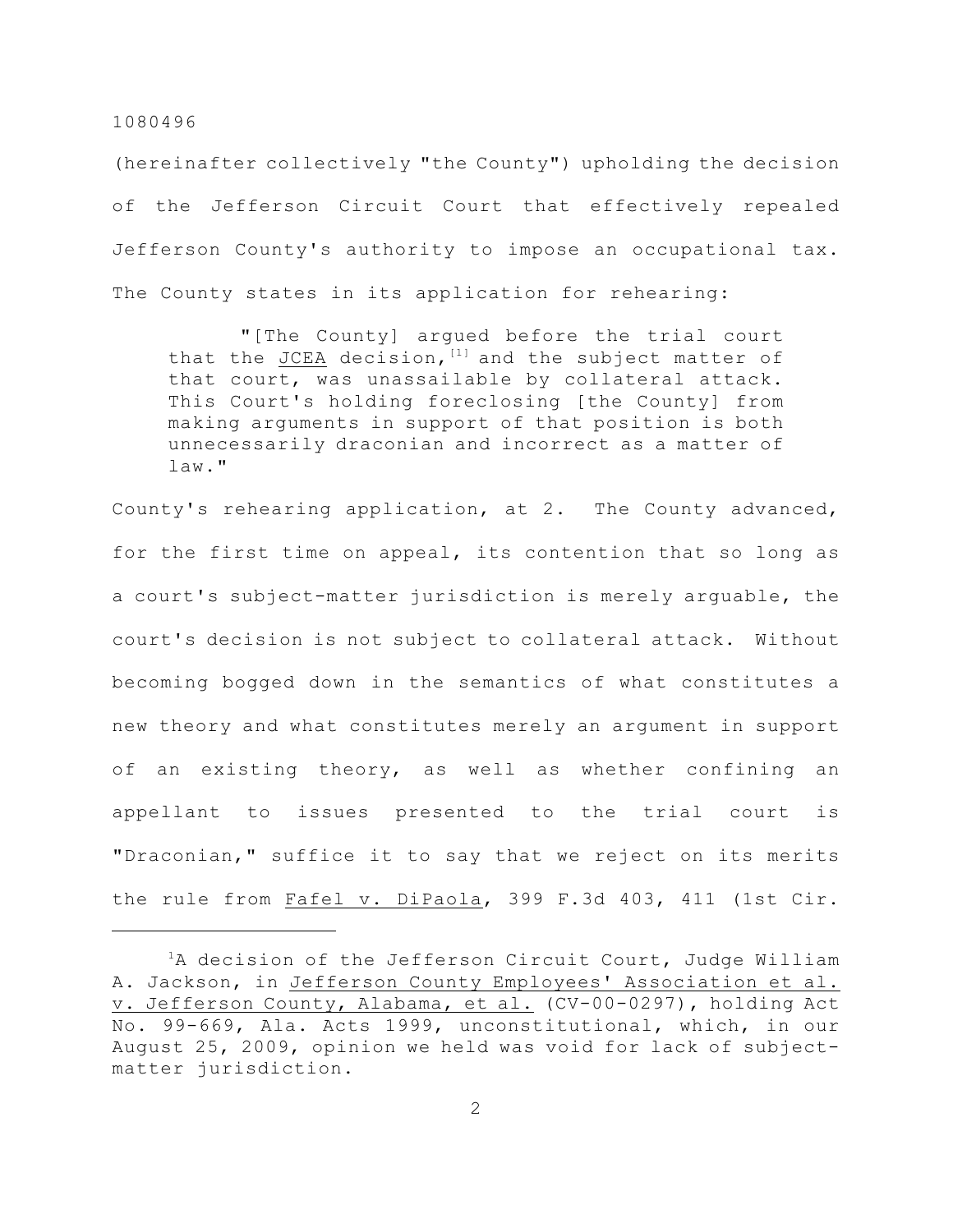1080496

(hereinafter collectively "the County") upholding the decision of the Jefferson Circuit Court that effectively repealed Jefferson County's authority to impose an occupational tax. The County states in its application for rehearing:

 "[The County] argued before the trial court that the JCEA decision,  $[1]$  and the subject matter of that court, was unassailable by collateral attack. This Court's holding foreclosing [the County] from making arguments in support of that position is both unnecessarily draconian and incorrect as a matter of law."

County's rehearing application, at 2. The County advanced, for the first time on appeal, its contention that so long as a court's subject-matter jurisdiction is merely arguable, the court's decision is not subject to collateral attack. Without becoming bogged down in the semantics of what constitutes a new theory and what constitutes merely an argument in support of an existing theory, as well as whether confining an appellant to issues presented to the trial court is "Draconian," suffice it to say that we reject on its merits the rule from Fafel v. DiPaola, 399 F.3d 403, 411 (1st Cir.

 ${}^{1}$ A decision of the Jefferson Circuit Court, Judge William A. Jackson, in Jefferson County Employees' Association et al. v. Jefferson County, Alabama, et al. (CV-00-0297), holding Act No. 99-669, Ala. Acts 1999, unconstitutional, which, in our August 25, 2009, opinion we held was void for lack of subjectmatter jurisdiction.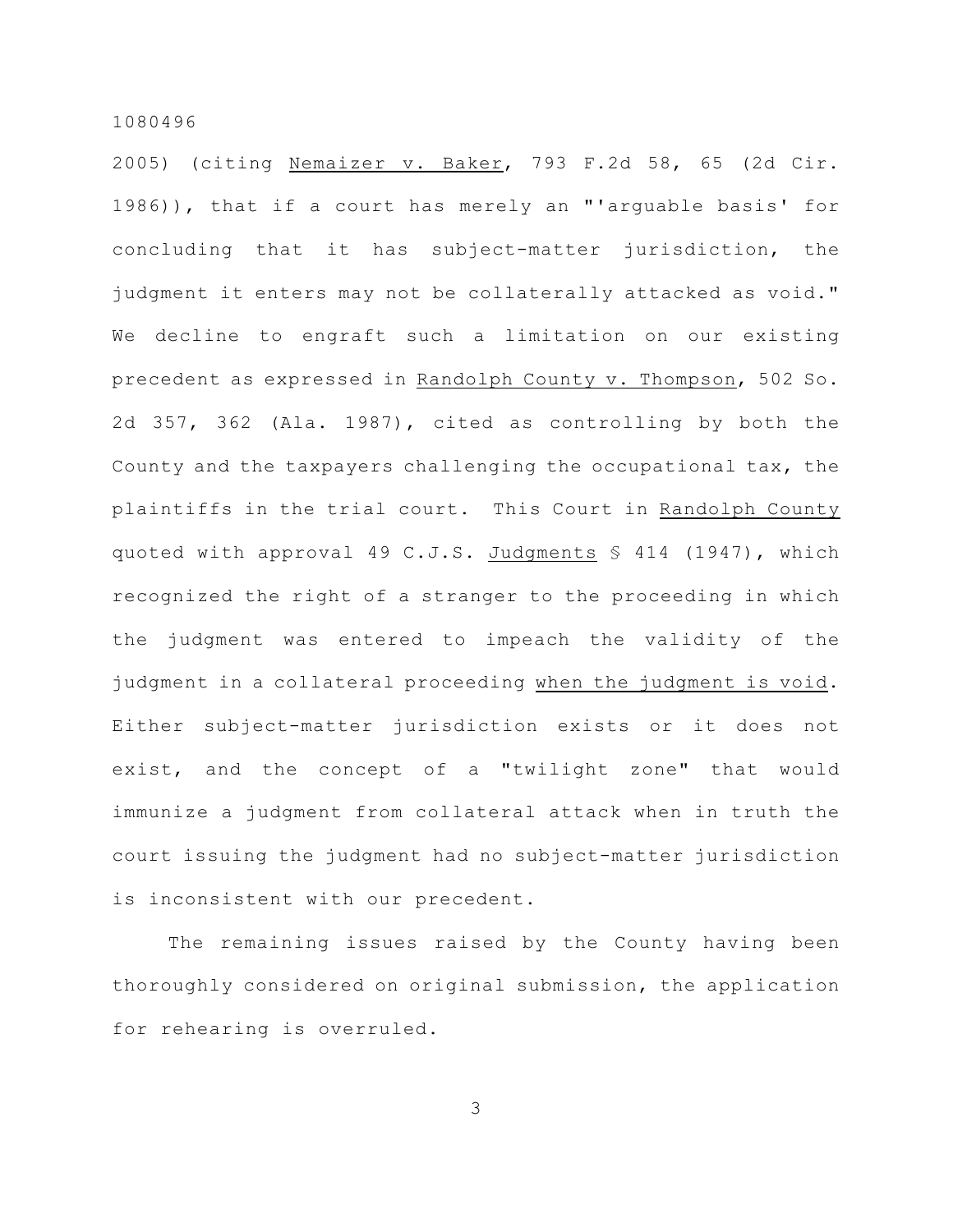1080496

2005) (citing Nemaizer v. Baker, 793 F.2d 58, 65 (2d Cir. 1986)), that if a court has merely an "'arguable basis' for concluding that it has subject-matter jurisdiction, the judgment it enters may not be collaterally attacked as void." We decline to engraft such a limitation on our existing precedent as expressed in Randolph County v. Thompson, 502 So. 2d 357, 362 (Ala. 1987), cited as controlling by both the County and the taxpayers challenging the occupational tax, the plaintiffs in the trial court. This Court in Randolph County quoted with approval 49 C.J.S. Judgments  $\S$  414 (1947), which recognized the right of a stranger to the proceeding in which the judgment was entered to impeach the validity of the judgment in a collateral proceeding when the judgment is void. Either subject-matter jurisdiction exists or it does not exist, and the concept of a "twilight zone" that would immunize a judgment from collateral attack when in truth the court issuing the judgment had no subject-matter jurisdiction is inconsistent with our precedent.

The remaining issues raised by the County having been thoroughly considered on original submission, the application for rehearing is overruled.

3